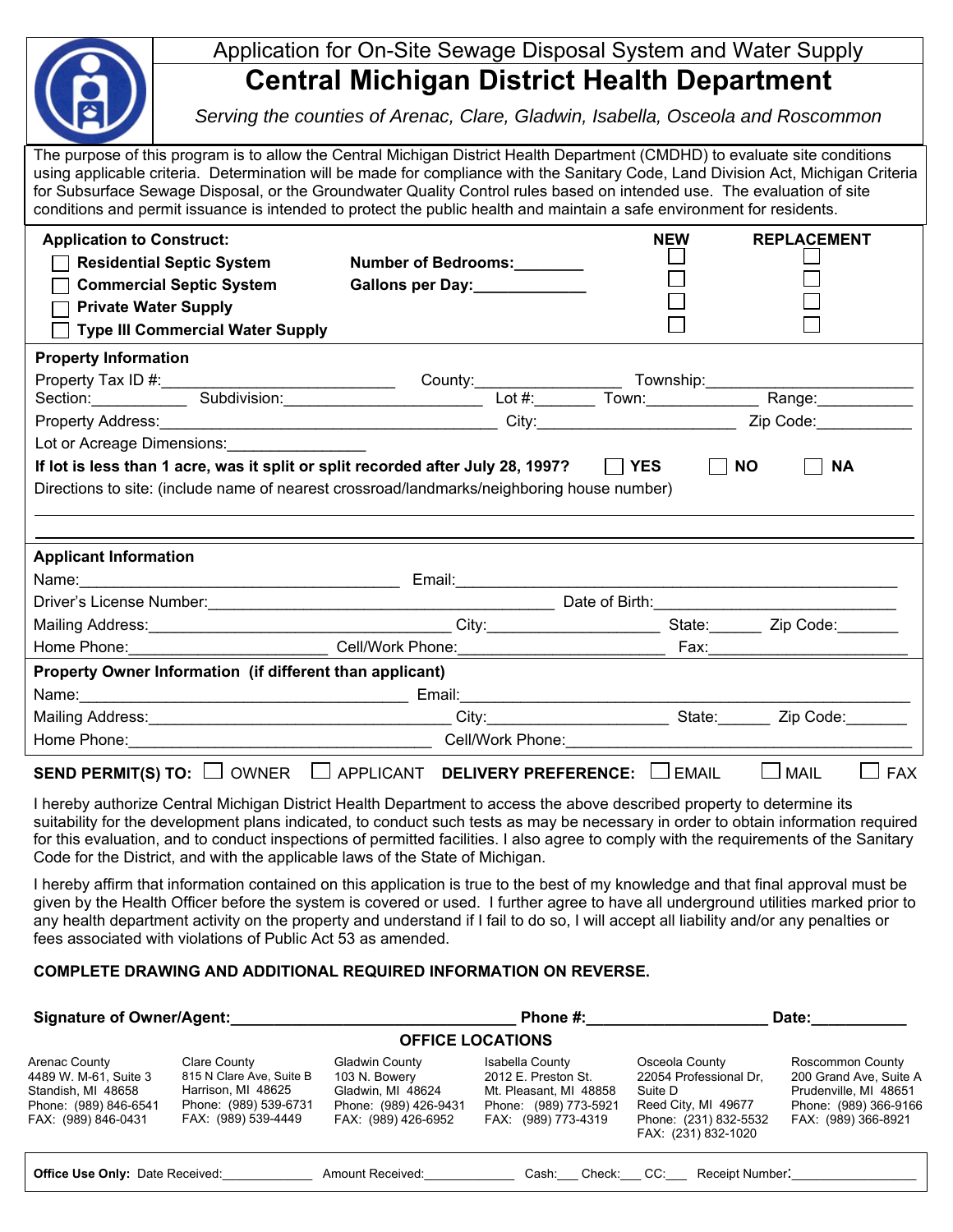|                                                                                                                                                                                                                                                                                                                                                                                                                                                                                                                      | Application for On-Site Sewage Disposal System and Water Supply                 |                                                                                            |            |                        |  |  |  |  |  |  |  |  |  |
|----------------------------------------------------------------------------------------------------------------------------------------------------------------------------------------------------------------------------------------------------------------------------------------------------------------------------------------------------------------------------------------------------------------------------------------------------------------------------------------------------------------------|---------------------------------------------------------------------------------|--------------------------------------------------------------------------------------------|------------|------------------------|--|--|--|--|--|--|--|--|--|
|                                                                                                                                                                                                                                                                                                                                                                                                                                                                                                                      | <b>Central Michigan District Health Department</b>                              |                                                                                            |            |                        |  |  |  |  |  |  |  |  |  |
|                                                                                                                                                                                                                                                                                                                                                                                                                                                                                                                      | Serving the counties of Arenac, Clare, Gladwin, Isabella, Osceola and Roscommon |                                                                                            |            |                        |  |  |  |  |  |  |  |  |  |
| The purpose of this program is to allow the Central Michigan District Health Department (CMDHD) to evaluate site conditions<br>using applicable criteria. Determination will be made for compliance with the Sanitary Code, Land Division Act, Michigan Criteria<br>for Subsurface Sewage Disposal, or the Groundwater Quality Control rules based on intended use. The evaluation of site<br>conditions and permit issuance is intended to protect the public health and maintain a safe environment for residents. |                                                                                 |                                                                                            |            |                        |  |  |  |  |  |  |  |  |  |
| <b>Application to Construct:</b>                                                                                                                                                                                                                                                                                                                                                                                                                                                                                     |                                                                                 |                                                                                            | <b>NEW</b> | <b>REPLACEMENT</b>     |  |  |  |  |  |  |  |  |  |
|                                                                                                                                                                                                                                                                                                                                                                                                                                                                                                                      | <b>Residential Septic System</b>                                                | Number of Bedrooms:                                                                        |            |                        |  |  |  |  |  |  |  |  |  |
|                                                                                                                                                                                                                                                                                                                                                                                                                                                                                                                      | <b>Commercial Septic System</b>                                                 | Gallons per Day:<br><u>Callons per Day:</u>                                                |            |                        |  |  |  |  |  |  |  |  |  |
| <b>Private Water Supply</b>                                                                                                                                                                                                                                                                                                                                                                                                                                                                                          |                                                                                 |                                                                                            |            |                        |  |  |  |  |  |  |  |  |  |
|                                                                                                                                                                                                                                                                                                                                                                                                                                                                                                                      | <b>Type III Commercial Water Supply</b>                                         |                                                                                            |            |                        |  |  |  |  |  |  |  |  |  |
| <b>Property Information</b>                                                                                                                                                                                                                                                                                                                                                                                                                                                                                          |                                                                                 |                                                                                            |            |                        |  |  |  |  |  |  |  |  |  |
|                                                                                                                                                                                                                                                                                                                                                                                                                                                                                                                      |                                                                                 |                                                                                            |            |                        |  |  |  |  |  |  |  |  |  |
|                                                                                                                                                                                                                                                                                                                                                                                                                                                                                                                      |                                                                                 |                                                                                            |            |                        |  |  |  |  |  |  |  |  |  |
|                                                                                                                                                                                                                                                                                                                                                                                                                                                                                                                      |                                                                                 |                                                                                            |            |                        |  |  |  |  |  |  |  |  |  |
|                                                                                                                                                                                                                                                                                                                                                                                                                                                                                                                      | Lot or Acreage Dimensions: _________________                                    |                                                                                            |            |                        |  |  |  |  |  |  |  |  |  |
|                                                                                                                                                                                                                                                                                                                                                                                                                                                                                                                      |                                                                                 | If lot is less than 1 acre, was it split or split recorded after July 28, 1997? $\Box$ YES |            | <b>NO</b><br><b>NA</b> |  |  |  |  |  |  |  |  |  |
| Directions to site: (include name of nearest crossroad/landmarks/neighboring house number)                                                                                                                                                                                                                                                                                                                                                                                                                           |                                                                                 |                                                                                            |            |                        |  |  |  |  |  |  |  |  |  |
|                                                                                                                                                                                                                                                                                                                                                                                                                                                                                                                      |                                                                                 |                                                                                            |            |                        |  |  |  |  |  |  |  |  |  |
|                                                                                                                                                                                                                                                                                                                                                                                                                                                                                                                      |                                                                                 |                                                                                            |            |                        |  |  |  |  |  |  |  |  |  |

| <b>Applicant Information</b>                                                                                                                                                                                                   |                                          |              |                           |
|--------------------------------------------------------------------------------------------------------------------------------------------------------------------------------------------------------------------------------|------------------------------------------|--------------|---------------------------|
| Name: <u>____________________</u>                                                                                                                                                                                              | Email:                                   |              |                           |
| Driver's License Number:                                                                                                                                                                                                       | Date of Birth:                           |              |                           |
| Mailing Address: Mailing Address: Mailing Address: Mailing Address: Mail 1999                                                                                                                                                  | City:                                    | State:       | Zip Code:                 |
| Home Phone: The Contract of the Contract of the Contract of the Contract of the Contract of the Contract of the Contract of the Contract of the Contract of the Contract of the Contract of the Contract of the Contract of th | Cell/Work Phone:                         | Fax:_        |                           |
| Property Owner Information (if different than applicant)                                                                                                                                                                       |                                          |              |                           |
| Name: 2008. 2008. 2009. 2009. 2010. 2010. 2010. 2010. 2010. 2010. 2010. 2010. 2010. 2010. 2010. 2010. 2010. 20                                                                                                                 | Email:                                   |              |                           |
| Mailing Address: Mail Address: Mail Address: Mail Address: Mail Address: Mail Address: Mail Address: Mail Address: Mail Address: Mail Address: Mail Address: Mail Address: Mail Address: Mail Address: Mail Address: Mail Addr | City:                                    | State:       | Zip Code:                 |
| Home Phone:                                                                                                                                                                                                                    | Cell/Work Phone:                         |              |                           |
| <b>SEND PERMIT(S) TO:</b><br>OWNER                                                                                                                                                                                             | <b>DELIVERY PREFERENCE:</b><br>APPLICANT | <b>EMAIL</b> | <b>FAX</b><br><b>MAIL</b> |

I hereby authorize Central Michigan District Health Department to access the above described property to determine its suitability for the development plans indicated, to conduct such tests as may be necessary in order to obtain information required for this evaluation, and to conduct inspections of permitted facilities. I also agree to comply with the requirements of the Sanitary Code for the District, and with the applicable laws of the State of Michigan.

I hereby affirm that information contained on this application is true to the best of my knowledge and that final approval must be given by the Health Officer before the system is covered or used. I further agree to have all underground utilities marked prior to any health department activity on the property and understand if I fail to do so, I will accept all liability and/or any penalties or fees associated with violations of Public Act 53 as amended.

## **COMPLETE DRAWING AND ADDITIONAL REQUIRED INFORMATION ON REVERSE.**

| <b>Signature of Owner/Agent:</b>                                                                             |                                                                                                                |                                                                                                      | Phone #:                                                                                                         | Date:                                                                                                                      |                                                                                                                     |  |  |  |  |  |  |
|--------------------------------------------------------------------------------------------------------------|----------------------------------------------------------------------------------------------------------------|------------------------------------------------------------------------------------------------------|------------------------------------------------------------------------------------------------------------------|----------------------------------------------------------------------------------------------------------------------------|---------------------------------------------------------------------------------------------------------------------|--|--|--|--|--|--|
| <b>OFFICE LOCATIONS</b>                                                                                      |                                                                                                                |                                                                                                      |                                                                                                                  |                                                                                                                            |                                                                                                                     |  |  |  |  |  |  |
| Arenac County<br>4489 W. M-61, Suite 3<br>Standish, MI 48658<br>Phone: (989) 846-6541<br>FAX: (989) 846-0431 | Clare County<br>815 N Clare Ave, Suite B<br>Harrison, MI 48625<br>Phone: (989) 539-6731<br>FAX: (989) 539-4449 | Gladwin County<br>103 N. Bowery<br>Gladwin, MI 48624<br>Phone: (989) 426-9431<br>FAX: (989) 426-6952 | Isabella County<br>2012 E. Preston St.<br>Mt. Pleasant, MI 48858<br>Phone: (989) 773-5921<br>FAX: (989) 773-4319 | Osceola County<br>22054 Professional Dr.<br>Suite D<br>Reed City, MI 49677<br>Phone: (231) 832-5532<br>FAX: (231) 832-1020 | Roscommon County<br>200 Grand Ave, Suite A<br>Prudenville, MI 48651<br>Phone: (989) 366-9166<br>FAX: (989) 366-8921 |  |  |  |  |  |  |
| <b>Office Use Only: Date Received:</b>                                                                       |                                                                                                                | Amount Received:                                                                                     | Cash:<br>Check:                                                                                                  | Receipt Number:<br>CC:                                                                                                     |                                                                                                                     |  |  |  |  |  |  |